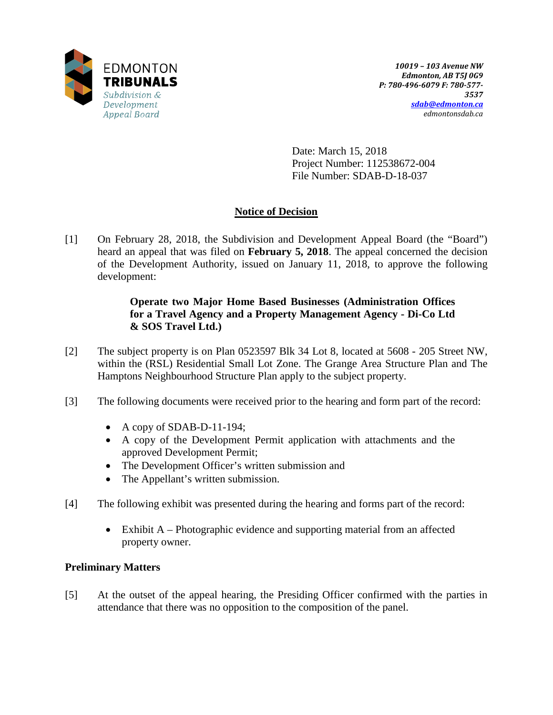

Date: March 15, 2018 Project Number: 112538672-004 File Number: SDAB-D-18-037

# **Notice of Decision**

[1] On February 28, 2018, the Subdivision and Development Appeal Board (the "Board") heard an appeal that was filed on **February 5, 2018**. The appeal concerned the decision of the Development Authority, issued on January 11, 2018, to approve the following development:

# **Operate two Major Home Based Businesses (Administration Offices for a Travel Agency and a Property Management Agency - Di-Co Ltd & SOS Travel Ltd.)**

- [2] The subject property is on Plan 0523597 Blk 34 Lot 8, located at 5608 205 Street NW, within the (RSL) Residential Small Lot Zone. The Grange Area Structure Plan and The Hamptons Neighbourhood Structure Plan apply to the subject property.
- [3] The following documents were received prior to the hearing and form part of the record:
	- A copy of SDAB-D-11-194;
	- A copy of the Development Permit application with attachments and the approved Development Permit;
	- The Development Officer's written submission and
	- The Appellant's written submission.
- [4] The following exhibit was presented during the hearing and forms part of the record:
	- Exhibit A Photographic evidence and supporting material from an affected property owner.

# **Preliminary Matters**

[5] At the outset of the appeal hearing, the Presiding Officer confirmed with the parties in attendance that there was no opposition to the composition of the panel.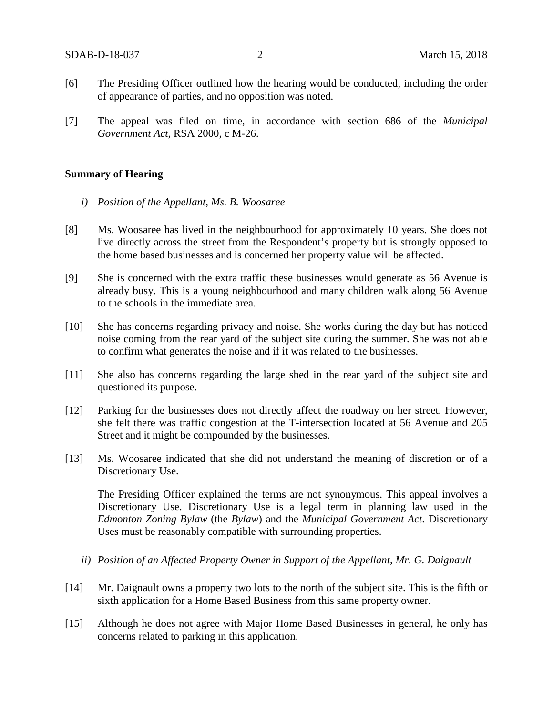- [6] The Presiding Officer outlined how the hearing would be conducted, including the order of appearance of parties, and no opposition was noted.
- [7] The appeal was filed on time, in accordance with section 686 of the *Municipal Government Act*, RSA 2000, c M-26.

#### **Summary of Hearing**

- *i) Position of the Appellant, Ms. B. Woosaree*
- [8] Ms. Woosaree has lived in the neighbourhood for approximately 10 years. She does not live directly across the street from the Respondent's property but is strongly opposed to the home based businesses and is concerned her property value will be affected.
- [9] She is concerned with the extra traffic these businesses would generate as 56 Avenue is already busy. This is a young neighbourhood and many children walk along 56 Avenue to the schools in the immediate area.
- [10] She has concerns regarding privacy and noise. She works during the day but has noticed noise coming from the rear yard of the subject site during the summer. She was not able to confirm what generates the noise and if it was related to the businesses.
- [11] She also has concerns regarding the large shed in the rear yard of the subject site and questioned its purpose.
- [12] Parking for the businesses does not directly affect the roadway on her street. However, she felt there was traffic congestion at the T-intersection located at 56 Avenue and 205 Street and it might be compounded by the businesses.
- [13] Ms. Woosaree indicated that she did not understand the meaning of discretion or of a Discretionary Use.

The Presiding Officer explained the terms are not synonymous. This appeal involves a Discretionary Use. Discretionary Use is a legal term in planning law used in the *Edmonton Zoning Bylaw* (the *Bylaw*) and the *Municipal Government Act*. Discretionary Uses must be reasonably compatible with surrounding properties.

- *ii) Position of an Affected Property Owner in Support of the Appellant, Mr. G. Daignault*
- [14] Mr. Daignault owns a property two lots to the north of the subject site. This is the fifth or sixth application for a Home Based Business from this same property owner.
- [15] Although he does not agree with Major Home Based Businesses in general, he only has concerns related to parking in this application.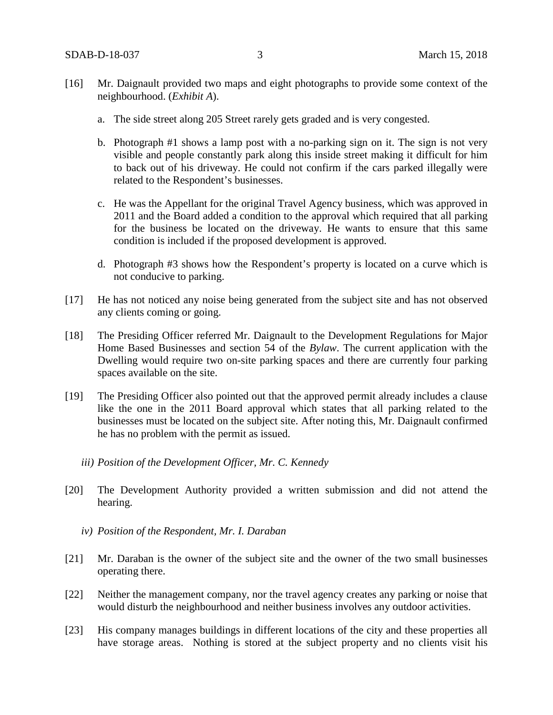- [16] Mr. Daignault provided two maps and eight photographs to provide some context of the neighbourhood. (*Exhibit A*).
	- a. The side street along 205 Street rarely gets graded and is very congested.
	- b. Photograph #1 shows a lamp post with a no-parking sign on it. The sign is not very visible and people constantly park along this inside street making it difficult for him to back out of his driveway. He could not confirm if the cars parked illegally were related to the Respondent's businesses.
	- c. He was the Appellant for the original Travel Agency business, which was approved in 2011 and the Board added a condition to the approval which required that all parking for the business be located on the driveway. He wants to ensure that this same condition is included if the proposed development is approved.
	- d. Photograph #3 shows how the Respondent's property is located on a curve which is not conducive to parking.
- [17] He has not noticed any noise being generated from the subject site and has not observed any clients coming or going.
- [18] The Presiding Officer referred Mr. Daignault to the Development Regulations for Major Home Based Businesses and section 54 of the *Bylaw*. The current application with the Dwelling would require two on-site parking spaces and there are currently four parking spaces available on the site.
- [19] The Presiding Officer also pointed out that the approved permit already includes a clause like the one in the 2011 Board approval which states that all parking related to the businesses must be located on the subject site. After noting this, Mr. Daignault confirmed he has no problem with the permit as issued.
	- *iii) Position of the Development Officer, Mr. C. Kennedy*
- [20] The Development Authority provided a written submission and did not attend the hearing.
	- *iv) Position of the Respondent, Mr. I. Daraban*
- [21] Mr. Daraban is the owner of the subject site and the owner of the two small businesses operating there.
- [22] Neither the management company, nor the travel agency creates any parking or noise that would disturb the neighbourhood and neither business involves any outdoor activities.
- [23] His company manages buildings in different locations of the city and these properties all have storage areas. Nothing is stored at the subject property and no clients visit his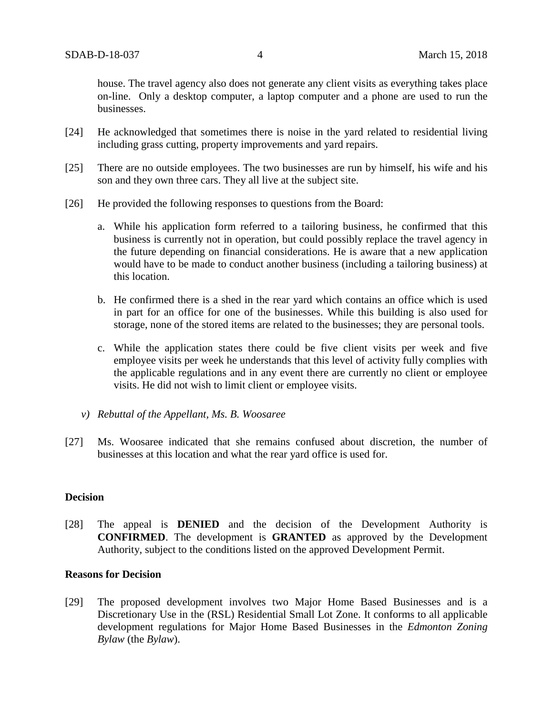house. The travel agency also does not generate any client visits as everything takes place on-line. Only a desktop computer, a laptop computer and a phone are used to run the businesses.

- [24] He acknowledged that sometimes there is noise in the yard related to residential living including grass cutting, property improvements and yard repairs.
- [25] There are no outside employees. The two businesses are run by himself, his wife and his son and they own three cars. They all live at the subject site.
- [26] He provided the following responses to questions from the Board:
	- a. While his application form referred to a tailoring business, he confirmed that this business is currently not in operation, but could possibly replace the travel agency in the future depending on financial considerations. He is aware that a new application would have to be made to conduct another business (including a tailoring business) at this location.
	- b. He confirmed there is a shed in the rear yard which contains an office which is used in part for an office for one of the businesses. While this building is also used for storage, none of the stored items are related to the businesses; they are personal tools.
	- c. While the application states there could be five client visits per week and five employee visits per week he understands that this level of activity fully complies with the applicable regulations and in any event there are currently no client or employee visits. He did not wish to limit client or employee visits.
	- *v) Rebuttal of the Appellant, Ms. B. Woosaree*
- [27] Ms. Woosaree indicated that she remains confused about discretion, the number of businesses at this location and what the rear yard office is used for.

### **Decision**

[28] The appeal is **DENIED** and the decision of the Development Authority is **CONFIRMED**. The development is **GRANTED** as approved by the Development Authority, subject to the conditions listed on the approved Development Permit.

#### **Reasons for Decision**

[29] The proposed development involves two Major Home Based Businesses and is a Discretionary Use in the (RSL) Residential Small Lot Zone. It conforms to all applicable development regulations for Major Home Based Businesses in the *Edmonton Zoning Bylaw* (the *Bylaw*).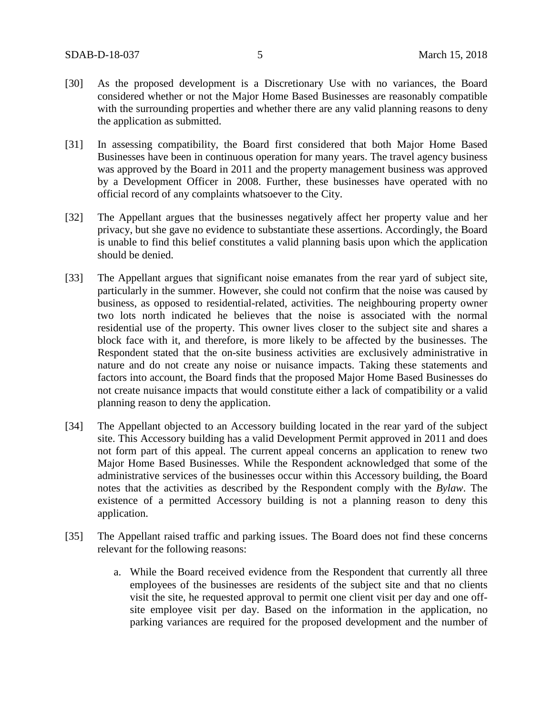- [30] As the proposed development is a Discretionary Use with no variances, the Board considered whether or not the Major Home Based Businesses are reasonably compatible with the surrounding properties and whether there are any valid planning reasons to deny the application as submitted.
- [31] In assessing compatibility, the Board first considered that both Major Home Based Businesses have been in continuous operation for many years. The travel agency business was approved by the Board in 2011 and the property management business was approved by a Development Officer in 2008. Further, these businesses have operated with no official record of any complaints whatsoever to the City.
- [32] The Appellant argues that the businesses negatively affect her property value and her privacy, but she gave no evidence to substantiate these assertions. Accordingly, the Board is unable to find this belief constitutes a valid planning basis upon which the application should be denied.
- [33] The Appellant argues that significant noise emanates from the rear yard of subject site, particularly in the summer. However, she could not confirm that the noise was caused by business, as opposed to residential-related, activities. The neighbouring property owner two lots north indicated he believes that the noise is associated with the normal residential use of the property. This owner lives closer to the subject site and shares a block face with it, and therefore, is more likely to be affected by the businesses. The Respondent stated that the on-site business activities are exclusively administrative in nature and do not create any noise or nuisance impacts. Taking these statements and factors into account, the Board finds that the proposed Major Home Based Businesses do not create nuisance impacts that would constitute either a lack of compatibility or a valid planning reason to deny the application.
- [34] The Appellant objected to an Accessory building located in the rear yard of the subject site. This Accessory building has a valid Development Permit approved in 2011 and does not form part of this appeal. The current appeal concerns an application to renew two Major Home Based Businesses. While the Respondent acknowledged that some of the administrative services of the businesses occur within this Accessory building, the Board notes that the activities as described by the Respondent comply with the *Bylaw*. The existence of a permitted Accessory building is not a planning reason to deny this application.
- [35] The Appellant raised traffic and parking issues. The Board does not find these concerns relevant for the following reasons:
	- a. While the Board received evidence from the Respondent that currently all three employees of the businesses are residents of the subject site and that no clients visit the site, he requested approval to permit one client visit per day and one offsite employee visit per day. Based on the information in the application, no parking variances are required for the proposed development and the number of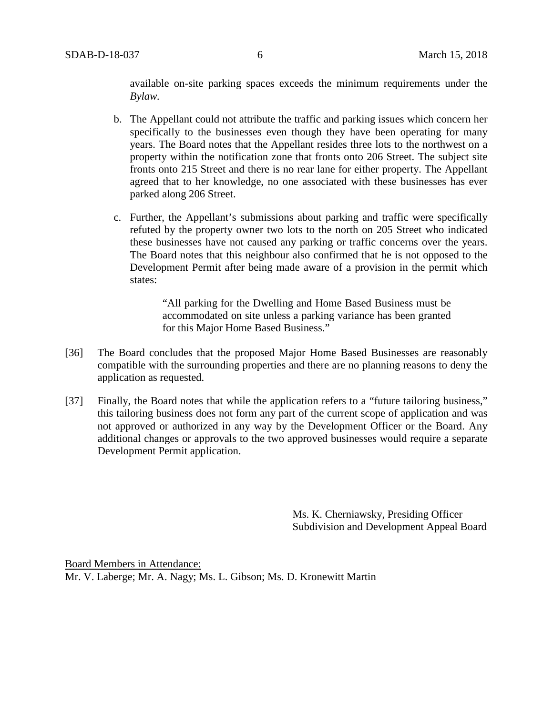available on-site parking spaces exceeds the minimum requirements under the *Bylaw.*

- b. The Appellant could not attribute the traffic and parking issues which concern her specifically to the businesses even though they have been operating for many years. The Board notes that the Appellant resides three lots to the northwest on a property within the notification zone that fronts onto 206 Street. The subject site fronts onto 215 Street and there is no rear lane for either property. The Appellant agreed that to her knowledge, no one associated with these businesses has ever parked along 206 Street.
- c. Further, the Appellant's submissions about parking and traffic were specifically refuted by the property owner two lots to the north on 205 Street who indicated these businesses have not caused any parking or traffic concerns over the years. The Board notes that this neighbour also confirmed that he is not opposed to the Development Permit after being made aware of a provision in the permit which states:

"All parking for the Dwelling and Home Based Business must be accommodated on site unless a parking variance has been granted for this Major Home Based Business."

- [36] The Board concludes that the proposed Major Home Based Businesses are reasonably compatible with the surrounding properties and there are no planning reasons to deny the application as requested.
- [37] Finally, the Board notes that while the application refers to a "future tailoring business," this tailoring business does not form any part of the current scope of application and was not approved or authorized in any way by the Development Officer or the Board. Any additional changes or approvals to the two approved businesses would require a separate Development Permit application.

Ms. K. Cherniawsky, Presiding Officer Subdivision and Development Appeal Board

Board Members in Attendance: Mr. V. Laberge; Mr. A. Nagy; Ms. L. Gibson; Ms. D. Kronewitt Martin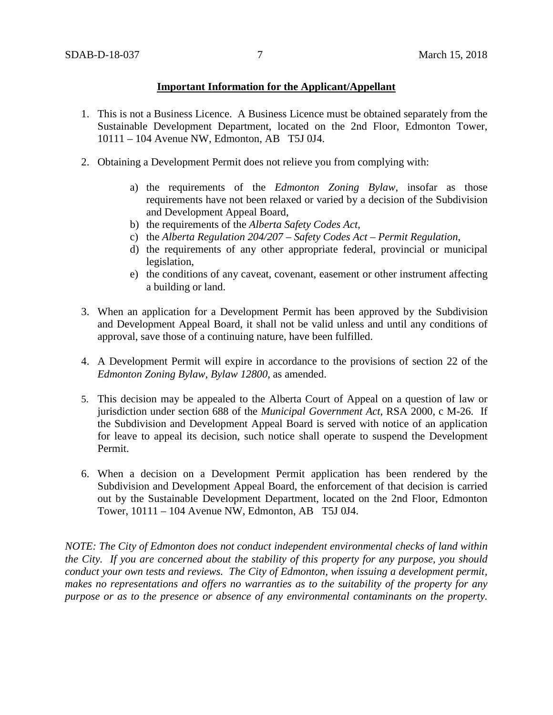### **Important Information for the Applicant/Appellant**

- 1. This is not a Business Licence. A Business Licence must be obtained separately from the Sustainable Development Department, located on the 2nd Floor, Edmonton Tower, 10111 – 104 Avenue NW, Edmonton, AB T5J 0J4.
- 2. Obtaining a Development Permit does not relieve you from complying with:
	- a) the requirements of the *Edmonton Zoning Bylaw*, insofar as those requirements have not been relaxed or varied by a decision of the Subdivision and Development Appeal Board,
	- b) the requirements of the *Alberta Safety Codes Act*,
	- c) the *Alberta Regulation 204/207 – Safety Codes Act – Permit Regulation*,
	- d) the requirements of any other appropriate federal, provincial or municipal legislation,
	- e) the conditions of any caveat, covenant, easement or other instrument affecting a building or land.
- 3. When an application for a Development Permit has been approved by the Subdivision and Development Appeal Board, it shall not be valid unless and until any conditions of approval, save those of a continuing nature, have been fulfilled.
- 4. A Development Permit will expire in accordance to the provisions of section 22 of the *Edmonton Zoning Bylaw, Bylaw 12800*, as amended.
- 5. This decision may be appealed to the Alberta Court of Appeal on a question of law or jurisdiction under section 688 of the *Municipal Government Act*, RSA 2000, c M-26. If the Subdivision and Development Appeal Board is served with notice of an application for leave to appeal its decision, such notice shall operate to suspend the Development Permit.
- 6. When a decision on a Development Permit application has been rendered by the Subdivision and Development Appeal Board, the enforcement of that decision is carried out by the Sustainable Development Department, located on the 2nd Floor, Edmonton Tower, 10111 – 104 Avenue NW, Edmonton, AB T5J 0J4.

*NOTE: The City of Edmonton does not conduct independent environmental checks of land within the City. If you are concerned about the stability of this property for any purpose, you should conduct your own tests and reviews. The City of Edmonton, when issuing a development permit, makes no representations and offers no warranties as to the suitability of the property for any purpose or as to the presence or absence of any environmental contaminants on the property.*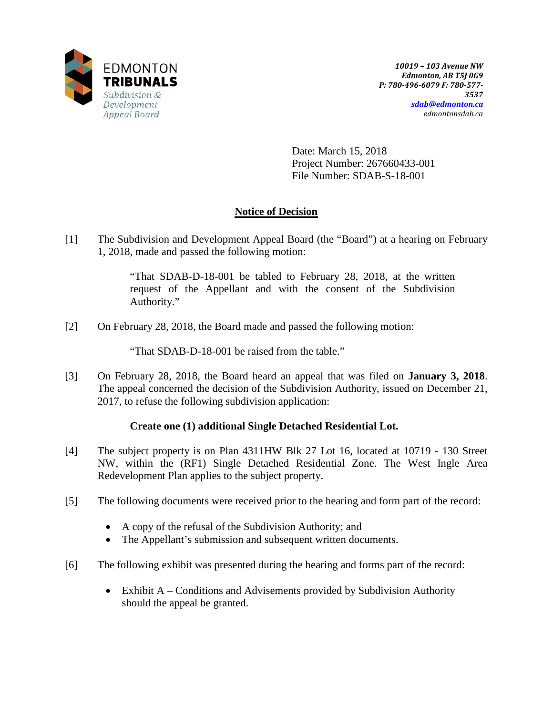

Date: March 15, 2018 Project Number: 267660433-001 File Number: SDAB-S-18-001

# **Notice of Decision**

[1] The Subdivision and Development Appeal Board (the "Board") at a hearing on February 1, 2018, made and passed the following motion:

> "That SDAB-D-18-001 be tabled to February 28, 2018, at the written request of the Appellant and with the consent of the Subdivision Authority."

[2] On February 28, 2018, the Board made and passed the following motion:

"That SDAB-D-18-001 be raised from the table."

[3] On February 28, 2018, the Board heard an appeal that was filed on **January 3, 2018**. The appeal concerned the decision of the Subdivision Authority, issued on December 21, 2017, to refuse the following subdivision application:

# **Create one (1) additional Single Detached Residential Lot.**

- [4] The subject property is on Plan 4311HW Blk 27 Lot 16, located at 10719 130 Street NW, within the (RF1) Single Detached Residential Zone. The West Ingle Area Redevelopment Plan applies to the subject property.
- [5] The following documents were received prior to the hearing and form part of the record:
	- A copy of the refusal of the Subdivision Authority; and
	- The Appellant's submission and subsequent written documents.
- [6] The following exhibit was presented during the hearing and forms part of the record:
	- Exhibit A Conditions and Advisements provided by Subdivision Authority should the appeal be granted.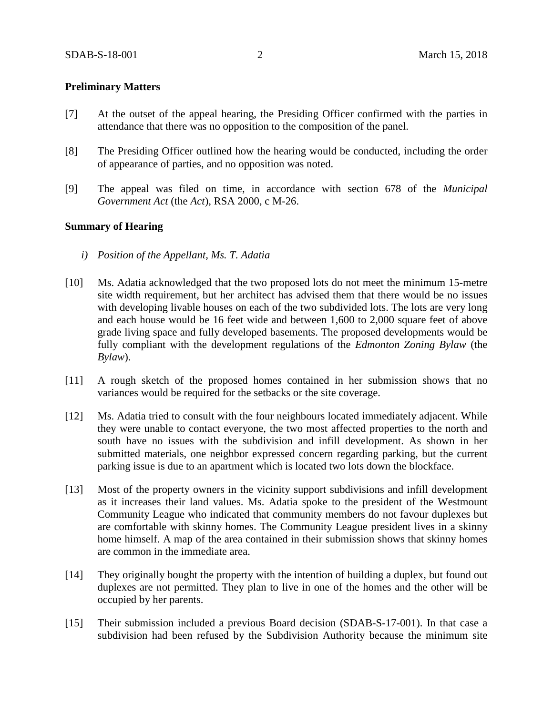#### **Preliminary Matters**

- [7] At the outset of the appeal hearing, the Presiding Officer confirmed with the parties in attendance that there was no opposition to the composition of the panel.
- [8] The Presiding Officer outlined how the hearing would be conducted, including the order of appearance of parties, and no opposition was noted.
- [9] The appeal was filed on time, in accordance with section 678 of the *Municipal Government Act* (the *Act*), RSA 2000, c M-26.

#### **Summary of Hearing**

- *i) Position of the Appellant, Ms. T. Adatia*
- [10] Ms. Adatia acknowledged that the two proposed lots do not meet the minimum 15-metre site width requirement, but her architect has advised them that there would be no issues with developing livable houses on each of the two subdivided lots. The lots are very long and each house would be 16 feet wide and between 1,600 to 2,000 square feet of above grade living space and fully developed basements. The proposed developments would be fully compliant with the development regulations of the *Edmonton Zoning Bylaw* (the *Bylaw*).
- [11] A rough sketch of the proposed homes contained in her submission shows that no variances would be required for the setbacks or the site coverage.
- [12] Ms. Adatia tried to consult with the four neighbours located immediately adjacent. While they were unable to contact everyone, the two most affected properties to the north and south have no issues with the subdivision and infill development. As shown in her submitted materials, one neighbor expressed concern regarding parking, but the current parking issue is due to an apartment which is located two lots down the blockface.
- [13] Most of the property owners in the vicinity support subdivisions and infill development as it increases their land values. Ms. Adatia spoke to the president of the Westmount Community League who indicated that community members do not favour duplexes but are comfortable with skinny homes. The Community League president lives in a skinny home himself. A map of the area contained in their submission shows that skinny homes are common in the immediate area.
- [14] They originally bought the property with the intention of building a duplex, but found out duplexes are not permitted. They plan to live in one of the homes and the other will be occupied by her parents.
- [15] Their submission included a previous Board decision (SDAB-S-17-001). In that case a subdivision had been refused by the Subdivision Authority because the minimum site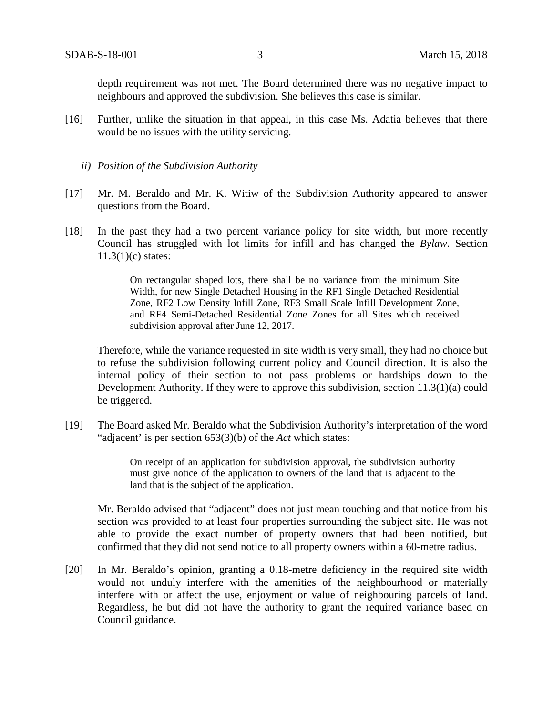depth requirement was not met. The Board determined there was no negative impact to neighbours and approved the subdivision. She believes this case is similar.

- [16] Further, unlike the situation in that appeal, in this case Ms. Adatia believes that there would be no issues with the utility servicing.
	- *ii) Position of the Subdivision Authority*
- [17] Mr. M. Beraldo and Mr. K. Witiw of the Subdivision Authority appeared to answer questions from the Board.
- [18] In the past they had a two percent variance policy for site width, but more recently Council has struggled with lot limits for infill and has changed the *Bylaw*. Section 11.3(1)(c) states:

On rectangular shaped lots, there shall be no variance from the minimum Site Width, for new Single Detached Housing in the RF1 Single Detached Residential Zone, RF2 Low Density Infill Zone, RF3 Small Scale Infill Development Zone, and RF4 Semi-Detached Residential Zone Zones for all Sites which received subdivision approval after June 12, 2017.

Therefore, while the variance requested in site width is very small, they had no choice but to refuse the subdivision following current policy and Council direction. It is also the internal policy of their section to not pass problems or hardships down to the Development Authority. If they were to approve this subdivision, section 11.3(1)(a) could be triggered.

[19] The Board asked Mr. Beraldo what the Subdivision Authority's interpretation of the word "adjacent' is per section 653(3)(b) of the *Act* which states:

> On receipt of an application for subdivision approval, the subdivision authority must give notice of the application to owners of the land that is adjacent to the land that is the subject of the application.

Mr. Beraldo advised that "adjacent" does not just mean touching and that notice from his section was provided to at least four properties surrounding the subject site. He was not able to provide the exact number of property owners that had been notified, but confirmed that they did not send notice to all property owners within a 60-metre radius.

[20] In Mr. Beraldo's opinion, granting a 0.18-metre deficiency in the required site width would not unduly interfere with the amenities of the neighbourhood or materially interfere with or affect the use, enjoyment or value of neighbouring parcels of land. Regardless, he but did not have the authority to grant the required variance based on Council guidance.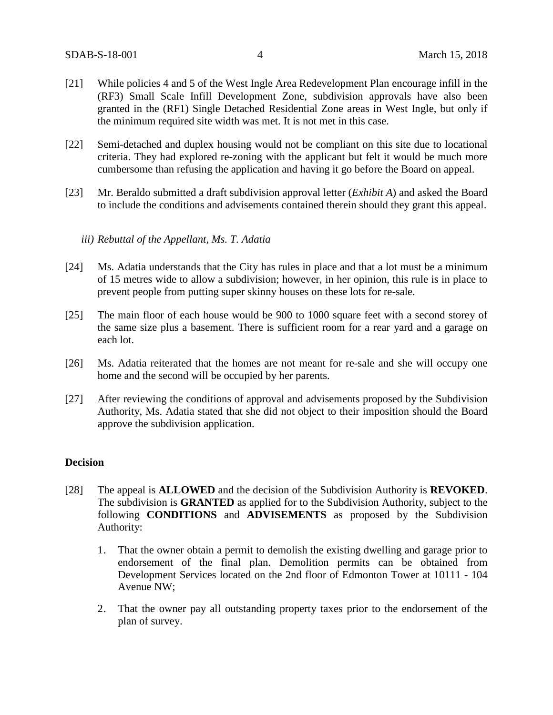- [21] While policies 4 and 5 of the West Ingle Area Redevelopment Plan encourage infill in the (RF3) Small Scale Infill Development Zone, subdivision approvals have also been granted in the (RF1) Single Detached Residential Zone areas in West Ingle, but only if the minimum required site width was met. It is not met in this case.
- [22] Semi-detached and duplex housing would not be compliant on this site due to locational criteria. They had explored re-zoning with the applicant but felt it would be much more cumbersome than refusing the application and having it go before the Board on appeal.
- [23] Mr. Beraldo submitted a draft subdivision approval letter (*Exhibit A*) and asked the Board to include the conditions and advisements contained therein should they grant this appeal.

### *iii) Rebuttal of the Appellant, Ms. T. Adatia*

- [24] Ms. Adatia understands that the City has rules in place and that a lot must be a minimum of 15 metres wide to allow a subdivision; however, in her opinion, this rule is in place to prevent people from putting super skinny houses on these lots for re-sale.
- [25] The main floor of each house would be 900 to 1000 square feet with a second storey of the same size plus a basement. There is sufficient room for a rear yard and a garage on each lot.
- [26] Ms. Adatia reiterated that the homes are not meant for re-sale and she will occupy one home and the second will be occupied by her parents.
- [27] After reviewing the conditions of approval and advisements proposed by the Subdivision Authority, Ms. Adatia stated that she did not object to their imposition should the Board approve the subdivision application.

### **Decision**

- [28] The appeal is **ALLOWED** and the decision of the Subdivision Authority is **REVOKED**. The subdivision is **GRANTED** as applied for to the Subdivision Authority, subject to the following **CONDITIONS** and **ADVISEMENTS** as proposed by the Subdivision Authority:
	- 1. That the owner obtain a permit to demolish the existing dwelling and garage prior to endorsement of the final plan. Demolition permits can be obtained from Development Services located on the 2nd floor of Edmonton Tower at 10111 - 104 Avenue NW;
	- 2. That the owner pay all outstanding property taxes prior to the endorsement of the plan of survey.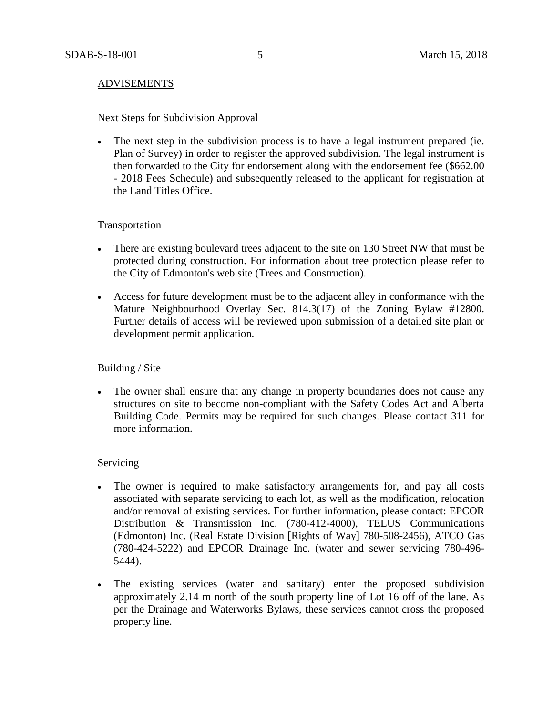### ADVISEMENTS

#### Next Steps for Subdivision Approval

• The next step in the subdivision process is to have a legal instrument prepared (ie. Plan of Survey) in order to register the approved subdivision. The legal instrument is then forwarded to the City for endorsement along with the endorsement fee (\$662.00 - 2018 Fees Schedule) and subsequently released to the applicant for registration at the Land Titles Office.

### Transportation

- There are existing boulevard trees adjacent to the site on 130 Street NW that must be protected during construction. For information about tree protection please refer to the City of Edmonton's web site (Trees and Construction).
- Access for future development must be to the adjacent alley in conformance with the Mature Neighbourhood Overlay Sec. 814.3(17) of the Zoning Bylaw #12800. Further details of access will be reviewed upon submission of a detailed site plan or development permit application.

#### Building / Site

• The owner shall ensure that any change in property boundaries does not cause any structures on site to become non-compliant with the Safety Codes Act and Alberta Building Code. Permits may be required for such changes. Please contact 311 for more information.

#### **Servicing**

- The owner is required to make satisfactory arrangements for, and pay all costs associated with separate servicing to each lot, as well as the modification, relocation and/or removal of existing services. For further information, please contact: EPCOR Distribution & Transmission Inc. (780-412-4000), TELUS Communications (Edmonton) Inc. (Real Estate Division [Rights of Way] 780-508-2456), ATCO Gas (780-424-5222) and EPCOR Drainage Inc. (water and sewer servicing 780-496- 5444).
- The existing services (water and sanitary) enter the proposed subdivision approximately 2.14 m north of the south property line of Lot 16 off of the lane. As per the Drainage and Waterworks Bylaws, these services cannot cross the proposed property line.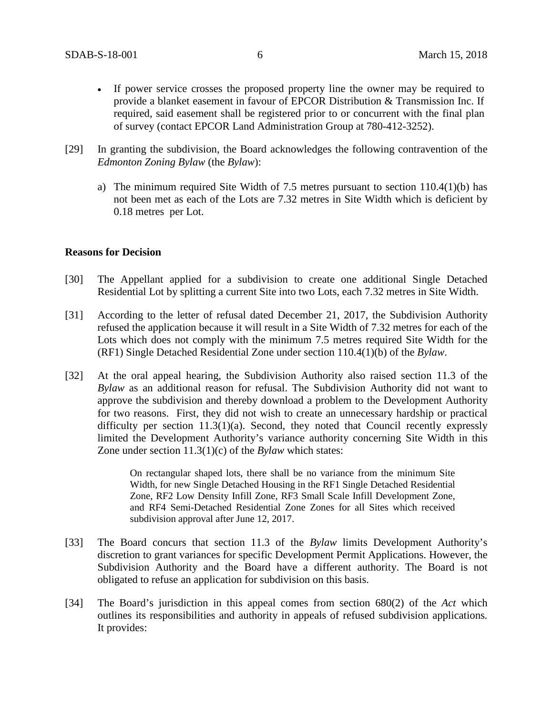- If power service crosses the proposed property line the owner may be required to provide a blanket easement in favour of EPCOR Distribution & Transmission Inc. If required, said easement shall be registered prior to or concurrent with the final plan of survey (contact EPCOR Land Administration Group at 780-412-3252).
- [29] In granting the subdivision, the Board acknowledges the following contravention of the *Edmonton Zoning Bylaw* (the *Bylaw*):
	- a) The minimum required Site Width of 7.5 metres pursuant to section 110.4(1)(b) has not been met as each of the Lots are 7.32 metres in Site Width which is deficient by 0.18 metres per Lot.

#### **Reasons for Decision**

- [30] The Appellant applied for a subdivision to create one additional Single Detached Residential Lot by splitting a current Site into two Lots, each 7.32 metres in Site Width.
- [31] According to the letter of refusal dated December 21, 2017, the Subdivision Authority refused the application because it will result in a Site Width of 7.32 metres for each of the Lots which does not comply with the minimum 7.5 metres required Site Width for the (RF1) Single Detached Residential Zone under section 110.4(1)(b) of the *Bylaw*.
- [32] At the oral appeal hearing, the Subdivision Authority also raised section 11.3 of the *Bylaw* as an additional reason for refusal. The Subdivision Authority did not want to approve the subdivision and thereby download a problem to the Development Authority for two reasons. First, they did not wish to create an unnecessary hardship or practical difficulty per section 11.3(1)(a). Second, they noted that Council recently expressly limited the Development Authority's variance authority concerning Site Width in this Zone under section 11.3(1)(c) of the *Bylaw* which states:

On rectangular shaped lots, there shall be no variance from the minimum Site Width, for new Single Detached Housing in the RF1 Single Detached Residential Zone, RF2 Low Density Infill Zone, RF3 Small Scale Infill Development Zone, and RF4 Semi-Detached Residential Zone Zones for all Sites which received subdivision approval after June 12, 2017.

- [33] The Board concurs that section 11.3 of the *Bylaw* limits Development Authority's discretion to grant variances for specific Development Permit Applications. However, the Subdivision Authority and the Board have a different authority. The Board is not obligated to refuse an application for subdivision on this basis.
- [34] The Board's jurisdiction in this appeal comes from section 680(2) of the *Act* which outlines its responsibilities and authority in appeals of refused subdivision applications*.*  It provides: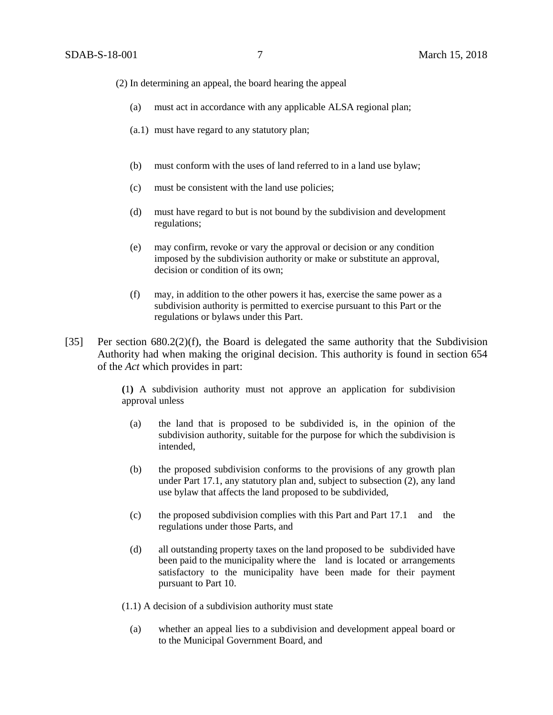- (2) In determining an appeal, the board hearing the appeal
	- (a) must act in accordance with any applicable ALSA regional plan;
	- (a.1) must have regard to any statutory plan;
	- (b) must conform with the uses of land referred to in a land use bylaw;
	- (c) must be consistent with the land use policies;
	- (d) must have regard to but is not bound by the subdivision and development regulations;
	- (e) may confirm, revoke or vary the approval or decision or any condition imposed by the subdivision authority or make or substitute an approval, decision or condition of its own;
	- (f) may, in addition to the other powers it has, exercise the same power as a subdivision authority is permitted to exercise pursuant to this Part or the regulations or bylaws under this Part.
- [35] Per section 680.2(2)(f), the Board is delegated the same authority that the Subdivision Authority had when making the original decision. This authority is found in section 654 of the *Act* which provides in part:

**(**1**)** A subdivision authority must not approve an application for subdivision approval unless

- (a) the land that is proposed to be subdivided is, in the opinion of the subdivision authority, suitable for the purpose for which the subdivision is intended,
- (b) the proposed subdivision conforms to the provisions of any growth plan under Part 17.1, any statutory plan and, subject to subsection (2), any land use bylaw that affects the land proposed to be subdivided,
- (c) the proposed subdivision complies with this Part and Part 17.1 and the regulations under those Parts, and
- (d) all outstanding property taxes on the land proposed to be subdivided have been paid to the municipality where the land is located or arrangements satisfactory to the municipality have been made for their payment pursuant to Part 10.
- (1.1) A decision of a subdivision authority must state
	- (a) whether an appeal lies to a subdivision and development appeal board or to the Municipal Government Board, and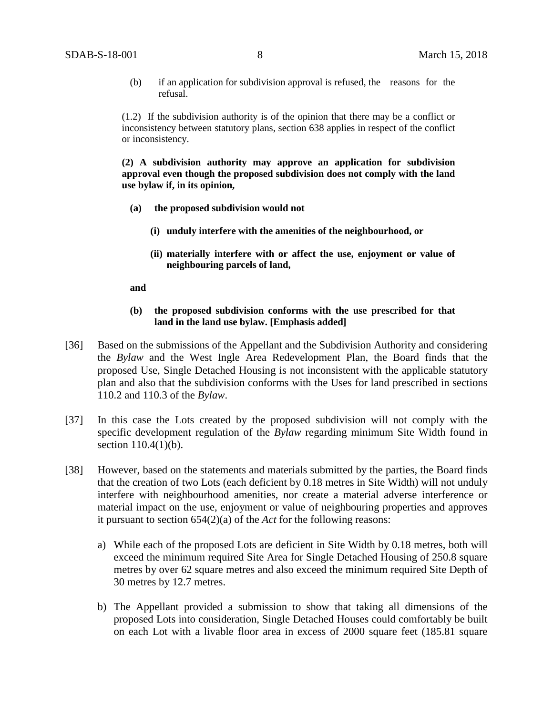(b) if an application for subdivision approval is refused, the reasons for the refusal.

(1.2) If the subdivision authority is of the opinion that there may be a conflict or inconsistency between statutory plans, section 638 applies in respect of the conflict or inconsistency.

**(2) A subdivision authority may approve an application for subdivision approval even though the proposed subdivision does not comply with the land use bylaw if, in its opinion,**

- **(a) the proposed subdivision would not**
	- **(i) unduly interfere with the amenities of the neighbourhood, or**
	- **(ii) materially interfere with or affect the use, enjoyment or value of neighbouring parcels of land,**

#### **and**

#### **(b) the proposed subdivision conforms with the use prescribed for that land in the land use bylaw. [Emphasis added]**

- [36] Based on the submissions of the Appellant and the Subdivision Authority and considering the *Bylaw* and the West Ingle Area Redevelopment Plan, the Board finds that the proposed Use, Single Detached Housing is not inconsistent with the applicable statutory plan and also that the subdivision conforms with the Uses for land prescribed in sections 110.2 and 110.3 of the *Bylaw*.
- [37] In this case the Lots created by the proposed subdivision will not comply with the specific development regulation of the *Bylaw* regarding minimum Site Width found in section 110.4(1)(b).
- [38] However, based on the statements and materials submitted by the parties, the Board finds that the creation of two Lots (each deficient by 0.18 metres in Site Width) will not unduly interfere with neighbourhood amenities, nor create a material adverse interference or material impact on the use, enjoyment or value of neighbouring properties and approves it pursuant to section 654(2)(a) of the *Act* for the following reasons:
	- a) While each of the proposed Lots are deficient in Site Width by 0.18 metres, both will exceed the minimum required Site Area for Single Detached Housing of 250.8 square metres by over 62 square metres and also exceed the minimum required Site Depth of 30 metres by 12.7 metres.
	- b) The Appellant provided a submission to show that taking all dimensions of the proposed Lots into consideration, Single Detached Houses could comfortably be built on each Lot with a livable floor area in excess of 2000 square feet (185.81 square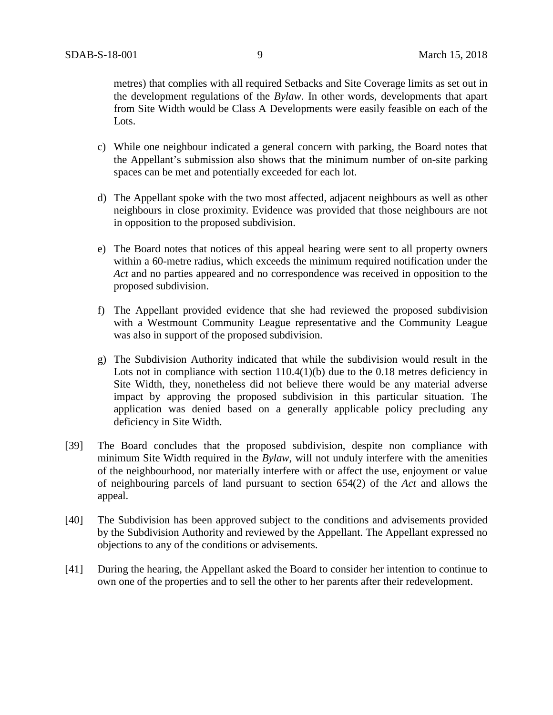metres) that complies with all required Setbacks and Site Coverage limits as set out in the development regulations of the *Bylaw*. In other words, developments that apart from Site Width would be Class A Developments were easily feasible on each of the Lots.

- c) While one neighbour indicated a general concern with parking, the Board notes that the Appellant's submission also shows that the minimum number of on-site parking spaces can be met and potentially exceeded for each lot.
- d) The Appellant spoke with the two most affected, adjacent neighbours as well as other neighbours in close proximity. Evidence was provided that those neighbours are not in opposition to the proposed subdivision.
- e) The Board notes that notices of this appeal hearing were sent to all property owners within a 60-metre radius, which exceeds the minimum required notification under the *Act* and no parties appeared and no correspondence was received in opposition to the proposed subdivision.
- f) The Appellant provided evidence that she had reviewed the proposed subdivision with a Westmount Community League representative and the Community League was also in support of the proposed subdivision.
- g) The Subdivision Authority indicated that while the subdivision would result in the Lots not in compliance with section 110.4(1)(b) due to the 0.18 metres deficiency in Site Width, they, nonetheless did not believe there would be any material adverse impact by approving the proposed subdivision in this particular situation. The application was denied based on a generally applicable policy precluding any deficiency in Site Width.
- [39] The Board concludes that the proposed subdivision, despite non compliance with minimum Site Width required in the *Bylaw*, will not unduly interfere with the amenities of the neighbourhood, nor materially interfere with or affect the use, enjoyment or value of neighbouring parcels of land pursuant to section 654(2) of the *Act* and allows the appeal.
- [40] The Subdivision has been approved subject to the conditions and advisements provided by the Subdivision Authority and reviewed by the Appellant. The Appellant expressed no objections to any of the conditions or advisements.
- [41] During the hearing, the Appellant asked the Board to consider her intention to continue to own one of the properties and to sell the other to her parents after their redevelopment.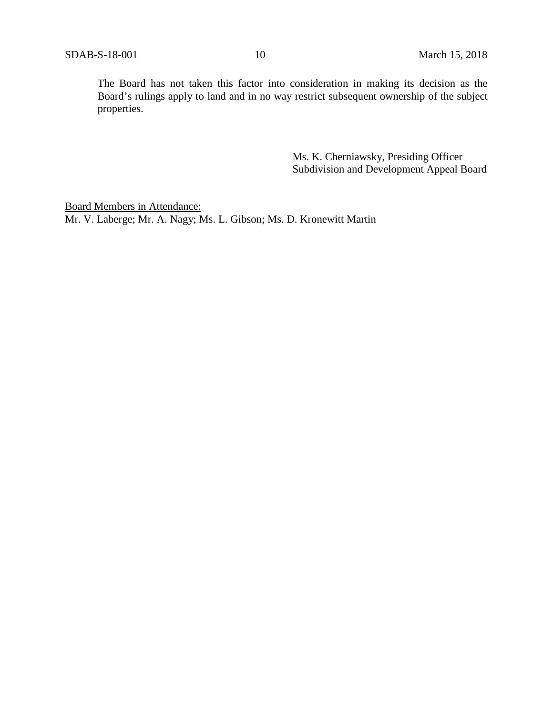The Board has not taken this factor into consideration in making its decision as the Board's rulings apply to land and in no way restrict subsequent ownership of the subject properties.

> Ms. K. Cherniawsky, Presiding Officer Subdivision and Development Appeal Board

Board Members in Attendance: Mr. V. Laberge; Mr. A. Nagy; Ms. L. Gibson; Ms. D. Kronewitt Martin